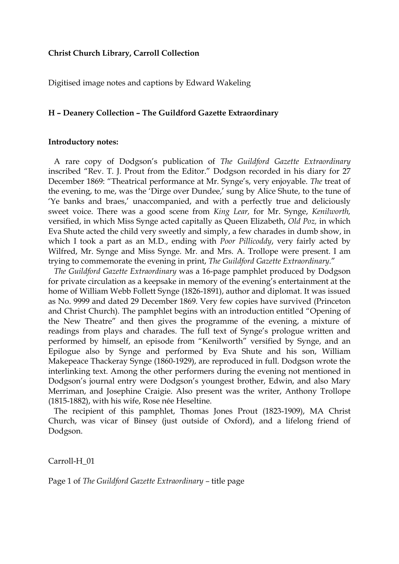### **Christ Church Library, Carroll Collection**

Digitised image notes and captions by Edward Wakeling

### **H – Deanery Collection – The Guildford Gazette Extraordinary**

#### **Introductory notes:**

 A rare copy of Dodgson's publication of *The Guildford Gazette Extraordinary* inscribed "Rev. T. J. Prout from the Editor." Dodgson recorded in his diary for 27 December 1869: "Theatrical performance at Mr. Synge's, very enjoyable. *The* treat of the evening, to me, was the 'Dirge over Dundee,' sung by Alice Shute, to the tune of 'Ye banks and braes,' unaccompanied, and with a perfectly true and deliciously sweet voice. There was a good scene from *King Lear,* for Mr. Synge, *Kenilworth,*  versified, in which Miss Synge acted capitally as Queen Elizabeth, *Old Poz,* in which Eva Shute acted the child very sweetly and simply, a few charades in dumb show, in which I took a part as an M.D., ending with *Poor Pillicoddy*, very fairly acted by Wilfred, Mr. Synge and Miss Synge. Mr. and Mrs. A. Trollope were present. I am trying to commemorate the evening in print, *The Guildford Gazette Extraordinary.*"

 *The Guildford Gazette Extraordinary* was a 16-page pamphlet produced by Dodgson for private circulation as a keepsake in memory of the evening's entertainment at the home of William Webb Follett Synge (1826-1891), author and diplomat. It was issued as No. 9999 and dated 29 December 1869. Very few copies have survived (Princeton and Christ Church). The pamphlet begins with an introduction entitled "Opening of the New Theatre" and then gives the programme of the evening, a mixture of readings from plays and charades. The full text of Synge's prologue written and performed by himself, an episode from "Kenilworth" versified by Synge, and an Epilogue also by Synge and performed by Eva Shute and his son, William Makepeace Thackeray Synge (1860-1929), are reproduced in full. Dodgson wrote the interlinking text. Among the other performers during the evening not mentioned in Dodgson's journal entry were Dodgson's youngest brother, Edwin, and also Mary Merriman, and Josephine Craigie. Also present was the writer, Anthony Trollope (1815-1882), with his wife, Rose née Heseltine.

 The recipient of this pamphlet, Thomas Jones Prout (1823-1909), MA Christ Church, was vicar of Binsey (just outside of Oxford), and a lifelong friend of Dodgson.

Carroll-H\_01

Page 1 of *The Guildford Gazette Extraordinary –* title page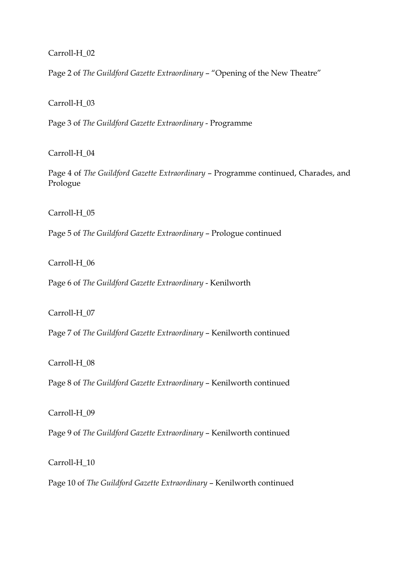# Carroll-H\_02

Page 2 of *The Guildford Gazette Extraordinary* – "Opening of the New Theatre"

### Carroll-H\_03

Page 3 of *The Guildford Gazette Extraordinary* - Programme

# Carroll-H\_04

Page 4 of *The Guildford Gazette Extraordinary* – Programme continued, Charades, and Prologue

# Carroll-H\_05

Page 5 of *The Guildford Gazette Extraordinary* – Prologue continued

# Carroll-H\_06

Page 6 of *The Guildford Gazette Extraordinary* - Kenilworth

#### Carroll-H\_07

Page 7 of *The Guildford Gazette Extraordinary* – Kenilworth continued

#### Carroll-H\_08

Page 8 of *The Guildford Gazette Extraordinary* – Kenilworth continued

#### Carroll-H\_09

Page 9 of *The Guildford Gazette Extraordinary* – Kenilworth continued

#### Carroll-H\_10

Page 10 of *The Guildford Gazette Extraordinary* – Kenilworth continued